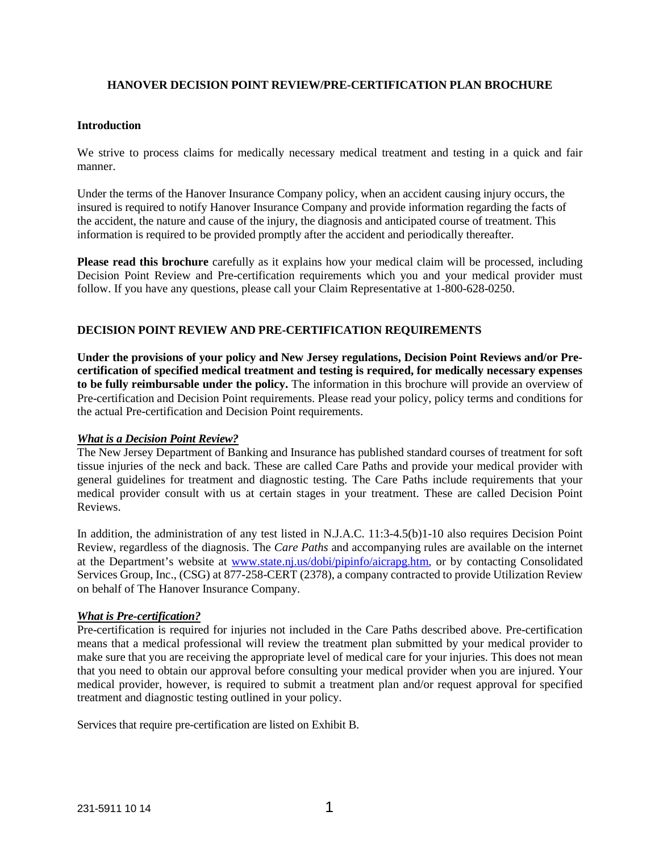### **HANOVER DECISION POINT REVIEW/PRE-CERTIFICATION PLAN BROCHURE**

### **Introduction**

We strive to process claims for medically necessary medical treatment and testing in a quick and fair manner.

Under the terms of the Hanover Insurance Company policy, when an accident causing injury occurs, the insured is required to notify Hanover Insurance Company and provide information regarding the facts of the accident, the nature and cause of the injury, the diagnosis and anticipated course of treatment. This information is required to be provided promptly after the accident and periodically thereafter.

**Please read this brochure** carefully as it explains how your medical claim will be processed, including Decision Point Review and Pre-certification requirements which you and your medical provider must follow. If you have any questions, please call your Claim Representative at 1-800-628-0250.

# **DECISION POINT REVIEW AND PRE-CERTIFICATION REQUIREMENTS**

**Under the provisions of your policy and New Jersey regulations, Decision Point Reviews and/or Precertification of specified medical treatment and testing is required, for medically necessary expenses to be fully reimbursable under the policy.** The information in this brochure will provide an overview of Pre-certification and Decision Point requirements. Please read your policy, policy terms and conditions for the actual Pre-certification and Decision Point requirements.

### *What is a Decision Point Review?*

The New Jersey Department of Banking and Insurance has published standard courses of treatment for soft tissue injuries of the neck and back. These are called Care Paths and provide your medical provider with general guidelines for treatment and diagnostic testing. The Care Paths include requirements that your medical provider consult with us at certain stages in your treatment. These are called Decision Point Reviews.

In addition, the administration of any test listed in N.J.A.C. 11:3-4.5(b)1-10 also requires Decision Point Review, regardless of the diagnosis. The *Care Paths* [and accompanying ru](http://www.state.nj.us/dobi/pipinfo/aicrapg.htm)les are available on the internet at the Department's website at www.state.nj.us/dobi/pipinfo/aicrapg.htm, or by contacting Consolidated Services Group, Inc., (CSG) at 877-258-CERT (2378), a company contracted to provide Utilization Review on behalf of The Hanover Insurance Company.

### *What is Pre-certification?*

Pre-certification is required for injuries not included in the Care Paths described above. Pre-certification means that a medical professional will review the treatment plan submitted by your medical provider to make sure that you are receiving the appropriate level of medical care for your injuries. This does not mean that you need to obtain our approval before consulting your medical provider when you are injured. Your medical provider, however, is required to submit a treatment plan and/or request approval for specified treatment and diagnostic testing outlined in your policy.

Services that require pre-certification are listed on Exhibit B.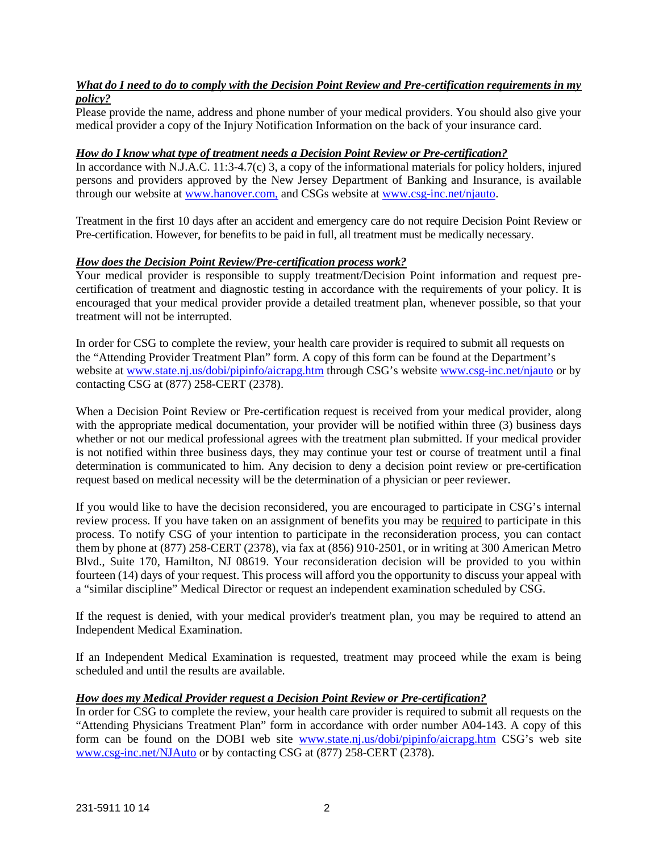# *What do I need to do to comply with the Decision Point Review and Pre-certification requirements in my policy?*

Please provide the name, address and phone number of your medical providers. You should also give your medical provider a copy of the Injury Notification Information on the back of your insurance card.

### *How do I know what type of treatment needs a Decision Point Review or Pre-certification?*

In accordance with N.J.A.C. 11:3-4.7(c) 3, a copy of the informational materials for policy holders, injured persons and providers approved by the New Jersey Department of Banking and Insurance, is available through our website at [www.hanover.com,](http://www.hanover.com/) and CSGs website at [www.csg-inc.net/njauto](https://www.csg-inc.net/njauto).

Treatment in the first 10 days after an accident and emergency care do not require Decision Point Review or Pre-certification. However, for benefits to be paid in full, all treatment must be medically necessary.

# *How does the Decision Point Review/Pre-certification process work?*

Your medical provider is responsible to supply treatment/Decision Point information and request precertification of treatment and diagnostic testing in accordance with the requirements of your policy. It is encouraged that your medical provider provide a detailed treatment plan, whenever possible, so that your treatment will not be interrupted.

In order for CSG to complete the review, your health care provider is required to submit all requests on the "Attending Provider Treatment Plan" form. A copy of this form can be found at the Department's website at [www.state.nj.us/dobi/pipinfo/aicrapg.htm](http://www.state.nj.us/dobi/pipinfo/aicrapg.htm) through CSG's website [www.csg-inc.net/njauto](http://www.csg-inc.net/njauto) or by contacting CSG at (877) 258-CERT (2378).

When a Decision Point Review or Pre-certification request is received from your medical provider, along with the appropriate medical documentation, your provider will be notified within three (3) business days whether or not our medical professional agrees with the treatment plan submitted. If your medical provider is not notified within three business days, they may continue your test or course of treatment until a final determination is communicated to him. Any decision to deny a decision point review or pre-certification request based on medical necessity will be the determination of a physician or peer reviewer.

If you would like to have the decision reconsidered, you are encouraged to participate in CSG's internal review process. If you have taken on an assignment of benefits you may be required to participate in this process. To notify CSG of your intention to participate in the reconsideration process, you can contact them by phone at (877) 258-CERT (2378), via fax at (856) 910-2501, or in writing at 300 American Metro Blvd., Suite 170, Hamilton, NJ 08619. Your reconsideration decision will be provided to you within fourteen (14) days of your request. This process will afford you the opportunity to discuss your appeal with a "similar discipline" Medical Director or request an independent examination scheduled by CSG.

If the request is denied, with your medical provider's treatment plan, you may be required to attend an Independent Medical Examination.

If an Independent Medical Examination is requested, treatment may proceed while the exam is being scheduled and until the results are available.

### *How does my Medical Provider request a Decision Point Review or Pre-certification?*

In order for CSG to complete the review, your health care provider is required to submit all requests on the "Attending Physicians Treatment Plan" form in accordance with order number A04-143. A copy of this form can be found on the DOBI web site [www.state.nj.us/dobi/pipinfo/aicrapg.htm](http://www.state.nj.us/dobi/pipinfo/aicrapg.htm) CSG's web site [www.csg-inc.net/NJAuto](https://www.csg-inc.net/NJAuto) or by contacting CSG at (877) 258-CERT (2378).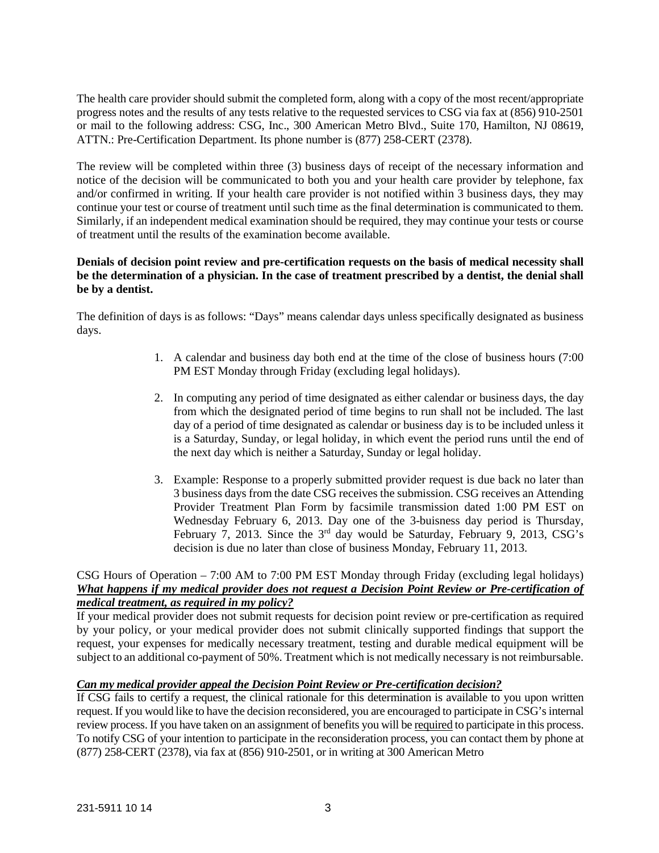The health care provider should submit the completed form, along with a copy of the most recent/appropriate progress notes and the results of any tests relative to the requested services to CSG via fax at (856) 910-2501 or mail to the following address: CSG, Inc., 300 American Metro Blvd., Suite 170, Hamilton, NJ 08619, ATTN.: Pre-Certification Department. Its phone number is (877) 258-CERT (2378).

The review will be completed within three (3) business days of receipt of the necessary information and notice of the decision will be communicated to both you and your health care provider by telephone, fax and/or confirmed in writing. If your health care provider is not notified within 3 business days, they may continue your test or course of treatment until such time as the final determination is communicated to them. Similarly, if an independent medical examination should be required, they may continue your tests or course of treatment until the results of the examination become available.

# **Denials of decision point review and pre-certification requests on the basis of medical necessity shall be the determination of a physician. In the case of treatment prescribed by a dentist, the denial shall be by a dentist.**

The definition of days is as follows: "Days" means calendar days unless specifically designated as business days.

- 1. A calendar and business day both end at the time of the close of business hours (7:00 PM EST Monday through Friday (excluding legal holidays).
- 2. In computing any period of time designated as either calendar or business days, the day from which the designated period of time begins to run shall not be included. The last day of a period of time designated as calendar or business day is to be included unless it is a Saturday, Sunday, or legal holiday, in which event the period runs until the end of the next day which is neither a Saturday, Sunday or legal holiday.
- 3. Example: Response to a properly submitted provider request is due back no later than 3 business days from the date CSG receives the submission. CSG receives an Attending Provider Treatment Plan Form by facsimile transmission dated 1:00 PM EST on Wednesday February 6, 2013. Day one of the 3-buisness day period is Thursday, February 7, 2013. Since the  $3<sup>rd</sup>$  day would be Saturday, February 9, 2013, CSG's decision is due no later than close of business Monday, February 11, 2013.

# CSG Hours of Operation – 7:00 AM to 7:00 PM EST Monday through Friday (excluding legal holidays) *What happens if my medical provider does not request a Decision Point Review or Pre-certification of medical treatment, as required in my policy?*

If your medical provider does not submit requests for decision point review or pre-certification as required by your policy, or your medical provider does not submit clinically supported findings that support the request, your expenses for medically necessary treatment, testing and durable medical equipment will be subject to an additional co-payment of 50%. Treatment which is not medically necessary is not reimbursable.

# *Can my medical provider appeal the Decision Point Review or Pre-certification decision?*

If CSG fails to certify a request, the clinical rationale for this determination is available to you upon written request. If you would like to have the decision reconsidered, you are encouraged to participate in CSG's internal review process. If you have taken on an assignment of benefits you will be required to participate in this process. To notify CSG of your intention to participate in the reconsideration process, you can contact them by phone at (877) 258-CERT (2378), via fax at (856) 910-2501, or in writing at 300 American Metro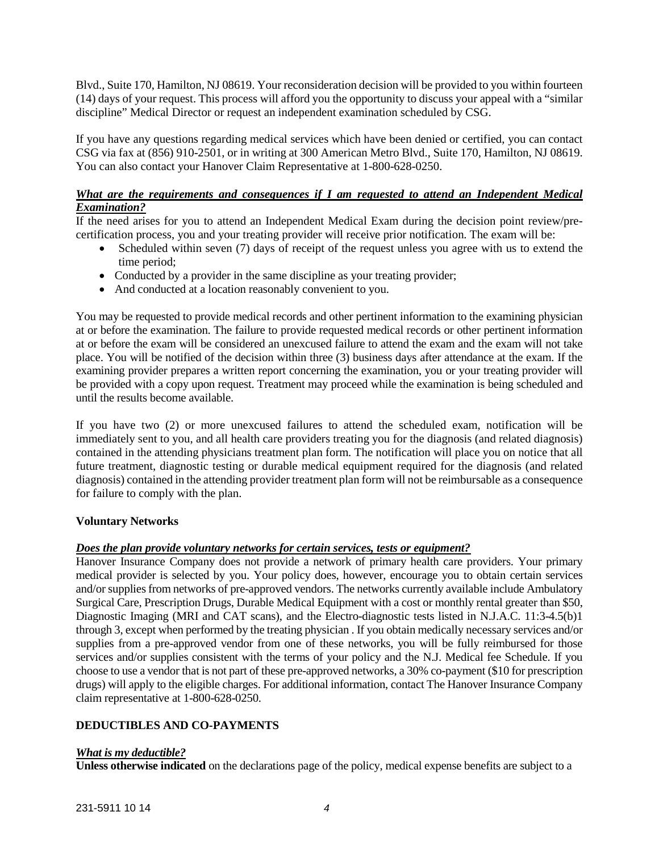Blvd., Suite 170, Hamilton, NJ 08619. Your reconsideration decision will be provided to you within fourteen (14) days of your request. This process will afford you the opportunity to discuss your appeal with a "similar discipline" Medical Director or request an independent examination scheduled by CSG.

If you have any questions regarding medical services which have been denied or certified, you can contact CSG via fax at (856) 910-2501, or in writing at 300 American Metro Blvd., Suite 170, Hamilton, NJ 08619. You can also contact your Hanover Claim Representative at 1-800-628-0250.

### *What are the requirements and consequences if I am requested to attend an Independent Medical Examination?*

If the need arises for you to attend an Independent Medical Exam during the decision point review/precertification process, you and your treating provider will receive prior notification. The exam will be:

- Scheduled within seven (7) days of receipt of the request unless you agree with us to extend the time period;
- Conducted by a provider in the same discipline as your treating provider;
- And conducted at a location reasonably convenient to you.

You may be requested to provide medical records and other pertinent information to the examining physician at or before the examination. The failure to provide requested medical records or other pertinent information at or before the exam will be considered an unexcused failure to attend the exam and the exam will not take place. You will be notified of the decision within three (3) business days after attendance at the exam. If the examining provider prepares a written report concerning the examination, you or your treating provider will be provided with a copy upon request. Treatment may proceed while the examination is being scheduled and until the results become available.

If you have two (2) or more unexcused failures to attend the scheduled exam, notification will be immediately sent to you, and all health care providers treating you for the diagnosis (and related diagnosis) contained in the attending physicians treatment plan form. The notification will place you on notice that all future treatment, diagnostic testing or durable medical equipment required for the diagnosis (and related diagnosis) contained in the attending provider treatment plan form will not be reimbursable as a consequence for failure to comply with the plan.

### **Voluntary Networks**

### *Does the plan provide voluntary networks for certain services, tests or equipment?*

Hanover Insurance Company does not provide a network of primary health care providers. Your primary medical provider is selected by you. Your policy does, however, encourage you to obtain certain services and/or supplies from networks of pre-approved vendors. The networks currently available include Ambulatory Surgical Care, Prescription Drugs, Durable Medical Equipment with a cost or monthly rental greater than \$50, Diagnostic Imaging (MRI and CAT scans), and the Electro-diagnostic tests listed in N.J.A.C. 11:3-4.5(b)1 through 3, except when performed by the treating physician . If you obtain medically necessary services and/or supplies from a pre-approved vendor from one of these networks, you will be fully reimbursed for those services and/or supplies consistent with the terms of your policy and the N.J. Medical fee Schedule. If you choose to use a vendor that is not part of these pre-approved networks, a 30% co-payment (\$10 for prescription drugs) will apply to the eligible charges. For additional information, contact The Hanover Insurance Company claim representative at 1-800-628-0250.

# **DEDUCTIBLES AND CO-PAYMENTS**

### *What is my deductible?*

**Unless otherwise indicated** on the declarations page of the policy, medical expense benefits are subject to a